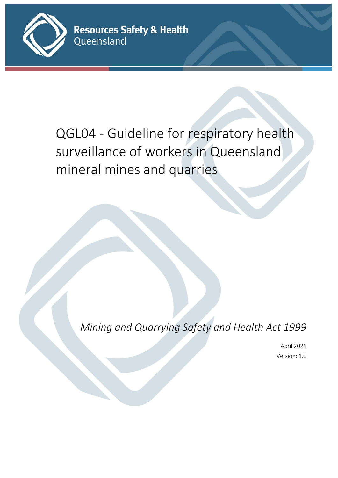

QGL04 - Guideline for respiratory health surveillance of workers in Queensland mineral mines and quarries

*Mining and Quarrying Safety and Health Act 1999*

April 2021 Version: 1.0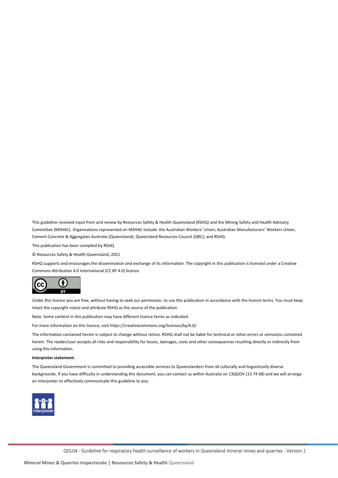This guideline received input from and review by Resources Safety & Health Queensland (RSHQ) and the Mining Safety and Health Advisory Committee (MSHAC). Organisations represented on MSHAC include: the Australian Workers' Union; Australian Manufacturers' Workers Union; Cement Concrete & Aggregates Australia (Queensland); Queensland Resources Council (QRC); and RSHQ.

This publication has been compiled by RSHQ.

© Resources Safety & Health Queensland, 2021

RSHQ supports and encourages the dissemination and exchange of its information. The copyright in this publication is licensed under a Creative Commons Attribution 4.0 International (CC BY 4.0) licence.



Under this licence you are free, without having to seek our permission, to use this publication in accordance with the licence terms. You must keep intact the copyright notice and attribute RSHQ as the source of the publication.

Note: Some content in this publication may have different licence terms as indicated.

For more information on this licence, visit https://creativecommons.org/licenses/by/4.0/.

The information contained herein is subject to change without notice. RSHQ shall not be liable for technical or other errors or omissions contained herein. The reader/user accepts all risks and responsibility for losses, damages, costs and other consequences resulting directly or indirectly from using this information.

#### **Interpreter statement:**

The Queensland Government is committed to providing accessible services to Queenslanders from all culturally and linguistically diverse backgrounds. If you have difficulty in understanding this document, you can contact us within Australia on 13QGOV (13 74 68) and we will arrange an interpreter to effectively communicate this guideline to you.

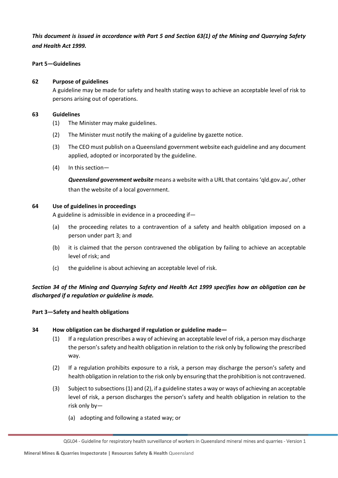### *This document is issued in accordance with Part 5 and Section 63(1) of the Mining and Quarrying Safety and Health Act 1999.*

#### **Part 5—Guidelines**

#### **62 Purpose of guidelines**

A guideline may be made for safety and health stating ways to achieve an acceptable level of risk to persons arising out of operations.

#### **63 Guidelines**

- (1) The Minister may make guidelines.
- (2) The Minister must notify the making of a guideline by gazette notice.
- (3) The CEO must publish on a Queensland government website each guideline and any document applied, adopted or incorporated by the guideline.
- (4) In this section—

*Queensland government website* means a website with a URL that contains 'qld.gov.au', other than the website of a local government.

#### **64 Use of guidelines in proceedings**

A guideline is admissible in evidence in a proceeding if—

- (a) the proceeding relates to a contravention of a safety and health obligation imposed on a person under part 3; and
- (b) it is claimed that the person contravened the obligation by failing to achieve an acceptable level of risk; and
- (c) the guideline is about achieving an acceptable level of risk.

*Section 34 of the Mining and Quarrying Safety and Health Act 1999 specifies how an obligation can be discharged if a regulation or guideline is made.*

#### **Part 3—Safety and health obligations**

#### **34 How obligation can be discharged if regulation or guideline made—**

- (1) If a regulation prescribes a way of achieving an acceptable level of risk, a person may discharge the person's safety and health obligation in relation to the risk only by following the prescribed way.
- (2) If a regulation prohibits exposure to a risk, a person may discharge the person's safety and health obligation in relation to the risk only by ensuring that the prohibition is not contravened.
- (3) Subject to subsections (1) and (2), if a guideline states a way or ways of achieving an acceptable level of risk, a person discharges the person's safety and health obligation in relation to the risk only by—
	- (a) adopting and following a stated way; or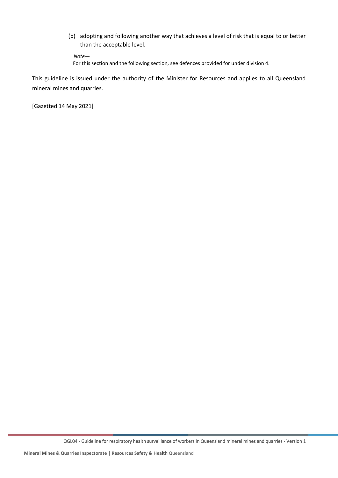(b) adopting and following another way that achieves a level of risk that is equal to or better than the acceptable level.

*Note—*

For this section and the following section, see defences provided for under division 4.

This guideline is issued under the authority of the Minister for Resources and applies to all Queensland mineral mines and quarries.

[Gazetted 14 May 2021]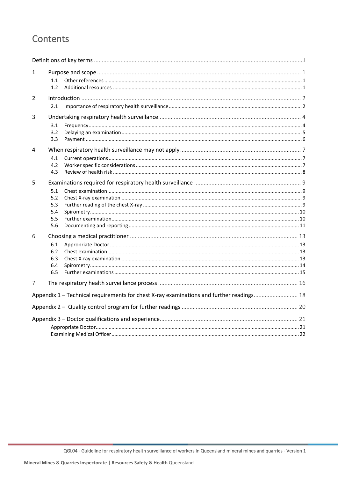# Contents

| 1                                                                                        | 1.1<br>1.2                             |  |  |  |
|------------------------------------------------------------------------------------------|----------------------------------------|--|--|--|
| 2                                                                                        | 2.1                                    |  |  |  |
| 3                                                                                        | 3.1<br>3.2<br>3.3                      |  |  |  |
| 4                                                                                        | 4.1<br>4.2<br>4.3                      |  |  |  |
| 5                                                                                        | 5.1<br>5.2<br>5.3<br>5.4<br>5.5<br>5.6 |  |  |  |
| 6                                                                                        | 6.1<br>6.2<br>6.3<br>6.4<br>6.5        |  |  |  |
| 7                                                                                        |                                        |  |  |  |
| Appendix 1 - Technical requirements for chest X-ray examinations and further readings 18 |                                        |  |  |  |
|                                                                                          |                                        |  |  |  |
|                                                                                          |                                        |  |  |  |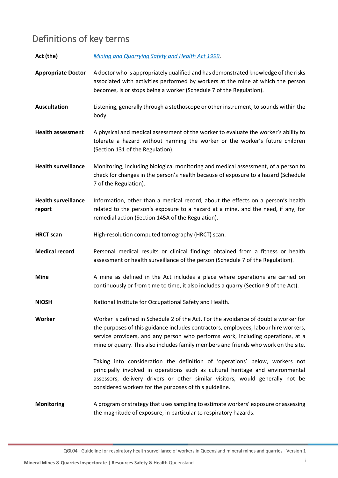# <span id="page-5-0"></span>Definitions of key terms

| Act (the)                            | Mining and Quarrying Safety and Health Act 1999.                                                                                                                                                                                                                                                                                                     |
|--------------------------------------|------------------------------------------------------------------------------------------------------------------------------------------------------------------------------------------------------------------------------------------------------------------------------------------------------------------------------------------------------|
| <b>Appropriate Doctor</b>            | A doctor who is appropriately qualified and has demonstrated knowledge of the risks<br>associated with activities performed by workers at the mine at which the person<br>becomes, is or stops being a worker (Schedule 7 of the Regulation).                                                                                                        |
| <b>Auscultation</b>                  | Listening, generally through a stethoscope or other instrument, to sounds within the<br>body.                                                                                                                                                                                                                                                        |
| <b>Health assessment</b>             | A physical and medical assessment of the worker to evaluate the worker's ability to<br>tolerate a hazard without harming the worker or the worker's future children<br>(Section 131 of the Regulation).                                                                                                                                              |
| <b>Health surveillance</b>           | Monitoring, including biological monitoring and medical assessment, of a person to<br>check for changes in the person's health because of exposure to a hazard (Schedule<br>7 of the Regulation).                                                                                                                                                    |
| <b>Health surveillance</b><br>report | Information, other than a medical record, about the effects on a person's health<br>related to the person's exposure to a hazard at a mine, and the need, if any, for<br>remedial action (Section 145A of the Regulation).                                                                                                                           |
| <b>HRCT</b> scan                     | High-resolution computed tomography (HRCT) scan.                                                                                                                                                                                                                                                                                                     |
| <b>Medical record</b>                | Personal medical results or clinical findings obtained from a fitness or health<br>assessment or health surveillance of the person (Schedule 7 of the Regulation).                                                                                                                                                                                   |
| <b>Mine</b>                          | A mine as defined in the Act includes a place where operations are carried on<br>continuously or from time to time, it also includes a quarry (Section 9 of the Act).                                                                                                                                                                                |
| <b>NIOSH</b>                         | National Institute for Occupational Safety and Health.                                                                                                                                                                                                                                                                                               |
| Worker                               | Worker is defined in Schedule 2 of the Act. For the avoidance of doubt a worker for<br>the purposes of this guidance includes contractors, employees, labour hire workers,<br>service providers, and any person who performs work, including operations, at a<br>mine or quarry. This also includes family members and friends who work on the site. |
|                                      | Taking into consideration the definition of 'operations' below, workers not<br>principally involved in operations such as cultural heritage and environmental<br>assessors, delivery drivers or other similar visitors, would generally not be<br>considered workers for the purposes of this guideline.                                             |
| <b>Monitoring</b>                    | A program or strategy that uses sampling to estimate workers' exposure or assessing<br>the magnitude of exposure, in particular to respiratory hazards.                                                                                                                                                                                              |

QGL04 - Guideline for respiratory health surveillance of workers in Queensland mineral mines and quarries - Version 1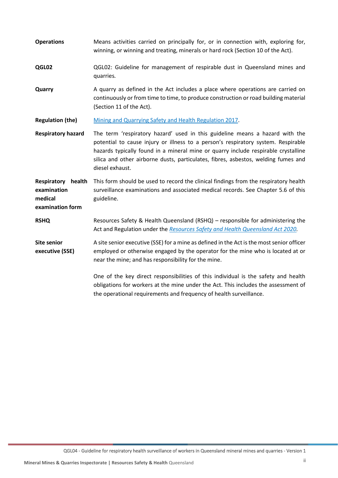| <b>Operations</b>                                                | Means activities carried on principally for, or in connection with, exploring for,<br>winning, or winning and treating, minerals or hard rock (Section 10 of the Act).                                                                                                                                                                                           |
|------------------------------------------------------------------|------------------------------------------------------------------------------------------------------------------------------------------------------------------------------------------------------------------------------------------------------------------------------------------------------------------------------------------------------------------|
| QGL02                                                            | QGL02: Guideline for management of respirable dust in Queensland mines and<br>quarries.                                                                                                                                                                                                                                                                          |
| Quarry                                                           | A quarry as defined in the Act includes a place where operations are carried on<br>continuously or from time to time, to produce construction or road building material<br>(Section 11 of the Act).                                                                                                                                                              |
| <b>Regulation (the)</b>                                          | Mining and Quarrying Safety and Health Regulation 2017.                                                                                                                                                                                                                                                                                                          |
| <b>Respiratory hazard</b>                                        | The term 'respiratory hazard' used in this guideline means a hazard with the<br>potential to cause injury or illness to a person's respiratory system. Respirable<br>hazards typically found in a mineral mine or quarry include respirable crystalline<br>silica and other airborne dusts, particulates, fibres, asbestos, welding fumes and<br>diesel exhaust. |
| Respiratory health<br>examination<br>medical<br>examination form | This form should be used to record the clinical findings from the respiratory health<br>surveillance examinations and associated medical records. See Chapter 5.6 of this<br>guideline.                                                                                                                                                                          |
| <b>RSHQ</b>                                                      | Resources Safety & Health Queensland (RSHQ) - responsible for administering the<br>Act and Regulation under the Resources Safety and Health Queensland Act 2020.                                                                                                                                                                                                 |
| <b>Site senior</b><br>executive (SSE)                            | A site senior executive (SSE) for a mine as defined in the Act is the most senior officer<br>employed or otherwise engaged by the operator for the mine who is located at or<br>near the mine; and has responsibility for the mine.                                                                                                                              |
|                                                                  | One of the key direct responsibilities of this individual is the safety and health<br>obligations for workers at the mine under the Act. This includes the assessment of<br>the operational requirements and frequency of health surveillance.                                                                                                                   |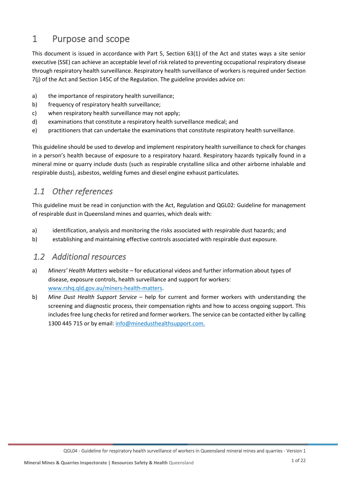# <span id="page-7-0"></span>1 Purpose and scope

This document is issued in accordance with Part 5, Section 63(1) of the Act and states ways a site senior executive (SSE) can achieve an acceptable level of risk related to preventing occupational respiratory disease through respiratory health surveillance. Respiratory health surveillance of workers is required under Section 7(j) of the Act and Section 145C of the Regulation. The guideline provides advice on:

- a) the importance of respiratory health surveillance;
- b) frequency of respiratory health surveillance;
- c) when respiratory health surveillance may not apply;
- d) examinations that constitute a respiratory health surveillance medical; and
- e) practitioners that can undertake the examinations that constitute respiratory health surveillance.

This guideline should be used to develop and implement respiratory health surveillance to check for changes in a person's health because of exposure to a respiratory hazard. Respiratory hazards typically found in a mineral mine or quarry include dusts (such as respirable crystalline silica and other airborne inhalable and respirable dusts), asbestos, welding fumes and diesel engine exhaust particulates.

## <span id="page-7-1"></span>*1.1 Other references*

This guideline must be read in conjunction with the Act, Regulation and QGL02: Guideline for management of respirable dust in Queensland mines and quarries, which deals with:

- a) identification, analysis and monitoring the risks associated with respirable dust hazards; and
- b) establishing and maintaining effective controls associated with respirable dust exposure.

## <span id="page-7-2"></span>*1.2 Additional resources*

- a) *Miners' Health Matters* website for educational videos and further information about types of disease, exposure controls, health surveillance and support for workers: [www.rshq.qld.gov.au/miners-health-matters.](http://www.rshq.qld.gov.au/miners-health-matters)
- b) *Mine Dust Health Support Service* help for current and former workers with understanding the screening and diagnostic process, their compensation rights and how to access ongoing support. This includes free lung checks for retired and former workers. The service can be contacted either by calling 1300 445 715 or by email[: info@minedusthealthsupport.com.](mailto:info@minedusthealthsupport.com)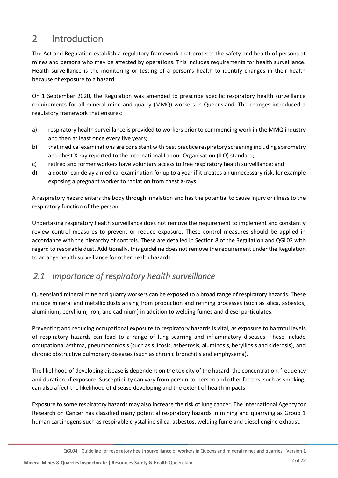# <span id="page-8-0"></span>2 Introduction

The Act and Regulation establish a regulatory framework that protects the safety and health of persons at mines and persons who may be affected by operations. This includes requirements for health surveillance. Health surveillance is the monitoring or testing of a person's health to identify changes in their health because of exposure to a hazard.

On 1 September 2020, the Regulation was amended to prescribe specific respiratory health surveillance requirements for all mineral mine and quarry (MMQ) workers in Queensland. The changes introduced a regulatory framework that ensures:

- a) respiratory health surveillance is provided to workers prior to commencing work in the MMQ industry and then at least once every five years;
- b) that medical examinations are consistent with best practice respiratory screening including spirometry and chest X-ray reported to the International Labour Organisation (ILO) standard;
- c) retired and former workers have voluntary access to free respiratory health surveillance; and
- d) a doctor can delay a medical examination for up to a year if it creates an unnecessary risk, for example exposing a pregnant worker to radiation from chest X-rays.

A respiratory hazard enters the body through inhalation and has the potential to cause injury or illness to the respiratory function of the person.

Undertaking respiratory health surveillance does not remove the requirement to implement and constantly review control measures to prevent or reduce exposure. These control measures should be applied in accordance with the hierarchy of controls. These are detailed in Section 8 of the Regulation and QGL02 with regard to respirable dust. Additionally, this guideline does not remove the requirement under the Regulation to arrange health surveillance for other health hazards.

## <span id="page-8-1"></span>*2.1 Importance of respiratory health surveillance*

Queensland mineral mine and quarry workers can be exposed to a broad range of respiratory hazards. These include mineral and metallic dusts arising from production and refining processes (such as silica, asbestos, aluminium, beryllium, iron, and cadmium) in addition to welding fumes and diesel particulates.

Preventing and reducing occupational exposure to respiratory hazards is vital, as exposure to harmful levels of respiratory hazards can lead to a range of lung scarring and inflammatory diseases. These include occupational asthma, pneumoconiosis (such as silicosis, asbestosis, aluminosis, berylliosis and siderosis), and chronic obstructive pulmonary diseases (such as chronic bronchitis and emphysema).

The likelihood of developing disease is dependent on the toxicity of the hazard, the concentration, frequency and duration of exposure. Susceptibility can vary from person-to-person and other factors, such as smoking, can also affect the likelihood of disease developing and the extent of health impacts.

Exposure to some respiratory hazards may also increase the risk of lung cancer. The International Agency for Research on Cancer has classified many potential respiratory hazards in mining and quarrying as Group 1 human carcinogens such as respirable crystalline silica, asbestos, welding fume and diesel engine exhaust.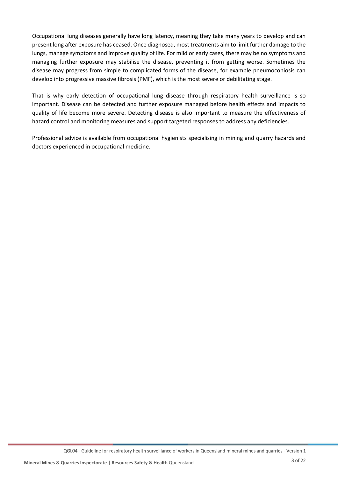Occupational lung diseases generally have long latency, meaning they take many years to develop and can present long after exposure has ceased. Once diagnosed, most treatments aim to limit further damage to the lungs, manage symptoms and improve quality of life. For mild or early cases, there may be no symptoms and managing further exposure may stabilise the disease, preventing it from getting worse. Sometimes the disease may progress from simple to complicated forms of the disease, for example pneumoconiosis can develop into progressive massive fibrosis (PMF), which is the most severe or debilitating stage.

That is why early detection of occupational lung disease through respiratory health surveillance is so important. Disease can be detected and further exposure managed before health effects and impacts to quality of life become more severe. Detecting disease is also important to measure the effectiveness of hazard control and monitoring measures and support targeted responses to address any deficiencies.

Professional advice is available from occupational hygienists specialising in mining and quarry hazards and doctors experienced in occupational medicine.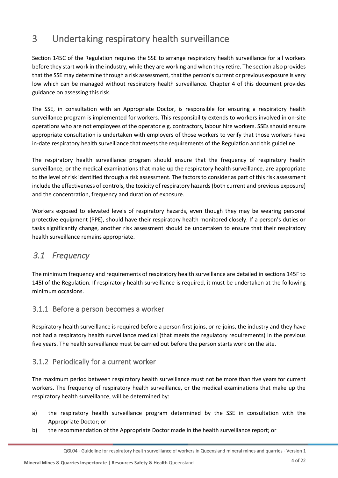# <span id="page-10-0"></span>3 Undertaking respiratory health surveillance

Section 145C of the Regulation requires the SSE to arrange respiratory health surveillance for all workers before they start work in the industry, while they are working and when they retire. The section also provides that the SSE may determine through a risk assessment, that the person's current or previous exposure is very low which can be managed without respiratory health surveillance. Chapter 4 of this document provides guidance on assessing this risk.

The SSE, in consultation with an Appropriate Doctor, is responsible for ensuring a respiratory health surveillance program is implemented for workers. This responsibility extends to workers involved in on-site operations who are not employees of the operator e.g. contractors, labour hire workers. SSEs should ensure appropriate consultation is undertaken with employers of those workers to verify that those workers have in-date respiratory health surveillance that meets the requirements of the Regulation and this guideline.

The respiratory health surveillance program should ensure that the frequency of respiratory health surveillance, or the medical examinations that make up the respiratory health surveillance, are appropriate to the level of risk identified through a risk assessment. The factors to consider as part of this risk assessment include the effectiveness of controls, the toxicity of respiratory hazards (both current and previous exposure) and the concentration, frequency and duration of exposure.

Workers exposed to elevated levels of respiratory hazards, even though they may be wearing personal protective equipment (PPE), should have their respiratory health monitored closely. If a person's duties or tasks significantly change, another risk assessment should be undertaken to ensure that their respiratory health surveillance remains appropriate.

## <span id="page-10-1"></span>*3.1 Frequency*

The minimum frequency and requirements of respiratory health surveillance are detailed in sections 145F to 145I of the Regulation. If respiratory health surveillance is required, it must be undertaken at the following minimum occasions.

## 3.1.1 Before a person becomes a worker

Respiratory health surveillance is required before a person first joins, or re-joins, the industry and they have not had a respiratory health surveillance medical (that meets the regulatory requirements) in the previous five years. The health surveillance must be carried out before the person starts work on the site.

## 3.1.2 Periodically for a current worker

The maximum period between respiratory health surveillance must not be more than five years for current workers. The frequency of respiratory health surveillance, or the medical examinations that make up the respiratory health surveillance, will be determined by:

- a) the respiratory health surveillance program determined by the SSE in consultation with the Appropriate Doctor; or
- b) the recommendation of the Appropriate Doctor made in the health surveillance report; or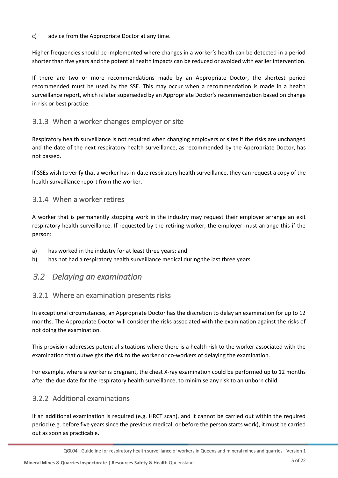#### c) advice from the Appropriate Doctor at any time.

Higher frequencies should be implemented where changes in a worker's health can be detected in a period shorter than five years and the potential health impacts can be reduced or avoided with earlier intervention.

If there are two or more recommendations made by an Appropriate Doctor, the shortest period recommended must be used by the SSE. This may occur when a recommendation is made in a health surveillance report, which is later superseded by an Appropriate Doctor's recommendation based on change in risk or best practice.

### 3.1.3 When a worker changes employer or site

Respiratory health surveillance is not required when changing employers or sites if the risks are unchanged and the date of the next respiratory health surveillance, as recommended by the Appropriate Doctor, has not passed.

If SSEs wish to verify that a worker has in-date respiratory health surveillance, they can request a copy of the health surveillance report from the worker.

### 3.1.4 When a worker retires

A worker that is permanently stopping work in the industry may request their employer arrange an exit respiratory health surveillance. If requested by the retiring worker, the employer must arrange this if the person:

- a) has worked in the industry for at least three years; and
- b) has not had a respiratory health surveillance medical during the last three years.

## <span id="page-11-0"></span>*3.2 Delaying an examination*

### 3.2.1 Where an examination presents risks

In exceptional circumstances, an Appropriate Doctor has the discretion to delay an examination for up to 12 months. The Appropriate Doctor will consider the risks associated with the examination against the risks of not doing the examination.

This provision addresses potential situations where there is a health risk to the worker associated with the examination that outweighs the risk to the worker or co-workers of delaying the examination.

For example, where a worker is pregnant, the chest X-ray examination could be performed up to 12 months after the due date for the respiratory health surveillance, to minimise any risk to an unborn child.

### 3.2.2 Additional examinations

If an additional examination is required (e.g. HRCT scan), and it cannot be carried out within the required period (e.g. before five years since the previous medical, or before the person starts work), it must be carried out as soon as practicable.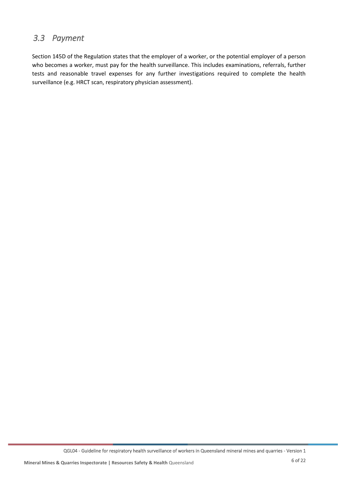## <span id="page-12-0"></span>*3.3 Payment*

Section 145D of the Regulation states that the employer of a worker, or the potential employer of a person who becomes a worker, must pay for the health surveillance. This includes examinations, referrals, further tests and reasonable travel expenses for any further investigations required to complete the health surveillance (e.g. HRCT scan, respiratory physician assessment).

QGL04 - Guideline for respiratory health surveillance of workers in Queensland mineral mines and quarries - Version 1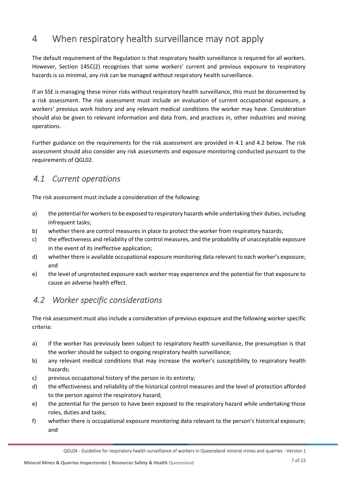# <span id="page-13-0"></span>4 When respiratory health surveillance may not apply

The default requirement of the Regulation is that respiratory health surveillance is required for all workers. However, Section 145C(2) recognises that some workers' current and previous exposure to respiratory hazards is so minimal, any risk can be managed without respiratory health surveillance.

If an SSE is managing these minor risks without respiratory health surveillance, this must be documented by a risk assessment. The risk assessment must include an evaluation of current occupational exposure, a workers' previous work history and any relevant medical conditions the worker may have. Consideration should also be given to relevant information and data from, and practices in, other industries and mining operations.

Further guidance on the requirements for the risk assessment are provided in 4.1 and 4.2 below. The risk assessment should also consider any risk assessments and exposure monitoring conducted pursuant to the requirements of QGL02.

## <span id="page-13-1"></span>*4.1 Current operations*

The risk assessment must include a consideration of the following:

- a) the potential for workers to be exposed to respiratory hazards while undertaking their duties, including infrequent tasks;
- b) whether there are control measures in place to protect the worker from respiratory hazards;
- c) the effectiveness and reliability of the control measures, and the probability of unacceptable exposure in the event of its ineffective application;
- d) whether there is available occupational exposure monitoring data relevant to each worker's exposure; and
- e) the level of unprotected exposure each worker may experience and the potential for that exposure to cause an adverse health effect.

## <span id="page-13-2"></span>*4.2 Worker specific considerations*

The risk assessment must also include a consideration of previous exposure and the following worker specific criteria:

- a) if the worker has previously been subject to respiratory health surveillance, the presumption is that the worker should be subject to ongoing respiratory health surveillance;
- b) any relevant medical conditions that may increase the worker's susceptibility to respiratory health hazards;
- c) previous occupational history of the person in its entirety;
- d) the effectiveness and reliability of the historical control measures and the level of protection afforded to the person against the respiratory hazard;
- e) the potential for the person to have been exposed to the respiratory hazard while undertaking those roles, duties and tasks;
- f) whether there is occupational exposure monitoring data relevant to the person's historical exposure; and

QGL04 - Guideline for respiratory health surveillance of workers in Queensland mineral mines and quarries - Version 1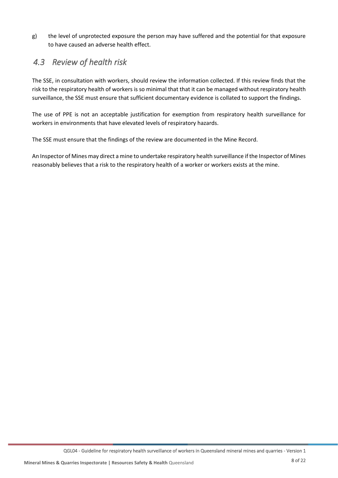g) the level of unprotected exposure the person may have suffered and the potential for that exposure to have caused an adverse health effect.

## <span id="page-14-0"></span>*4.3 Review of health risk*

The SSE, in consultation with workers, should review the information collected. If this review finds that the risk to the respiratory health of workers is so minimal that that it can be managed without respiratory health surveillance, the SSE must ensure that sufficient documentary evidence is collated to support the findings.

The use of PPE is not an acceptable justification for exemption from respiratory health surveillance for workers in environments that have elevated levels of respiratory hazards.

The SSE must ensure that the findings of the review are documented in the Mine Record.

An Inspector of Mines may direct a mine to undertake respiratory health surveillance if the Inspector of Mines reasonably believes that a risk to the respiratory health of a worker or workers exists at the mine.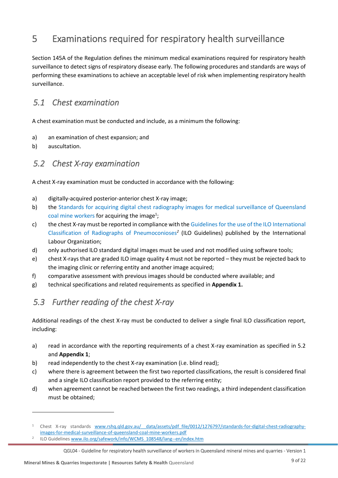# <span id="page-15-0"></span>5 Examinations required for respiratory health surveillance

Section 145A of the Regulation defines the minimum medical examinations required for respiratory health surveillance to detect signs of respiratory disease early. The following procedures and standards are ways of performing these examinations to achieve an acceptable level of risk when implementing respiratory health surveillance.

## <span id="page-15-1"></span>*5.1 Chest examination*

A chest examination must be conducted and include, as a minimum the following:

- a) an examination of chest expansion; and
- b) auscultation.

## <span id="page-15-2"></span>*5.2 Chest X-ray examination*

A chest X-ray examination must be conducted in accordance with the following:

- a) digitally-acquired posterior-anterior chest X-ray image;
- b) the [Standards for acquiring digital chest radiography images for medical surveillance of Queensland](http://www.rshq.qld.gov.au/__data/assets/pdf_file/0012/1276797/standards-for-digital-chest-radiography-images-for-medical-surveillance-of-queensland-coal-mine-workers.pdf)  [coal mine workers](http://www.rshq.qld.gov.au/__data/assets/pdf_file/0012/1276797/standards-for-digital-chest-radiography-images-for-medical-surveillance-of-queensland-coal-mine-workers.pdf) for acquiring the image<sup>1</sup>;
- c) the chest X-ray must be reported in compliance with the Guidelines for the use of the ILO International [Classification of Radiographs of Pneumoconioses](https://www.ilo.org/safework/info/WCMS_108548/lang--en/index.htm)*<sup>2</sup>* (ILO Guidelines) published by the International Labour Organization;
- d) only authorised ILO standard digital images must be used and not modified using software tools;
- e) chest X-rays that are graded ILO image quality 4 must not be reported they must be rejected back to the imaging clinic or referring entity and another image acquired;
- f) comparative assessment with previous images should be conducted where available; and
- g) technical specifications and related requirements as specified in **Appendix 1.**

## <span id="page-15-3"></span>*5.3 Further reading of the chest X-ray*

Additional readings of the chest X-ray must be conducted to deliver a single final ILO classification report, including:

- a) read in accordance with the reporting requirements of a chest X-ray examination as specified in 5.2 and **Appendix 1**;
- b) read independently to the chest X-ray examination (i.e. blind read);
- c) where there is agreement between the first two reported classifications, the result is considered final and a single ILO classification report provided to the referring entity;
- d) when agreement cannot be reached between the first two readings, a third independent classification must be obtained;

<sup>1</sup> Chest X-ray standards [www.rshq.qld.gov.au/\\_\\_data/assets/pdf\\_file/0012/1276797/standards-for-digital-chest-radiography](file:///C:/Users/MorganRP/AppData/Local/Microsoft/Windows/INetCache/Content.Outlook/S9YKZ4Z9/www.rshq.qld.gov.au/__data/assets/pdf_file/0012/1276797/standards-for-digital-chest-radiography-images-for-medical-surveillance-of-queensland-coal-mine-workers.pdf)[images-for-medical-surveillance-of-queensland-coal-mine-workers.pdf](file:///C:/Users/MorganRP/AppData/Local/Microsoft/Windows/INetCache/Content.Outlook/S9YKZ4Z9/www.rshq.qld.gov.au/__data/assets/pdf_file/0012/1276797/standards-for-digital-chest-radiography-images-for-medical-surveillance-of-queensland-coal-mine-workers.pdf)

<sup>2</sup> ILO Guideline[s www.ilo.org/safework/info/WCMS\\_108548/lang--en/index.htm](http://www.ilo.org/safework/info/WCMS_108548/lang--en/index.htm)

QGL04 - Guideline for respiratory health surveillance of workers in Queensland mineral mines and quarries - Version 1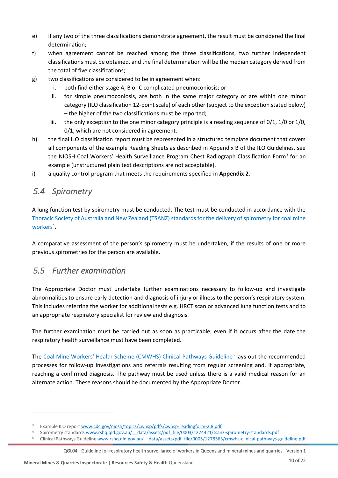- e) if any two of the three classifications demonstrate agreement, the result must be considered the final determination;
- f) when agreement cannot be reached among the three classifications, two further independent classifications must be obtained, and the final determination will be the median category derived from the total of five classifications;
- g) two classifications are considered to be in agreement when:
	- i. both find either stage A, B or C complicated pneumoconiosis; or
	- ii. for simple pneumoconiosis, are both in the same major category or are within one minor category (ILO classification 12-point scale) of each other (subject to the exception stated below) – the higher of the two classifications must be reported;
	- iii. the only exception to the one minor category principle is a reading sequence of  $0/1$ ,  $1/0$  or  $1/0$ , 0/1, which are not considered in agreement.
- h) the final ILO classification report must be represented in a structured template document that covers all components of the example Reading Sheets as described in Appendix B of the ILO Guidelines, see the NIOSH Coal Workers' Health Surveillance Program Chest Radiograph Classification Form<sup>3</sup> for an example (unstructured plain text descriptions are not acceptable).
- i) a quality control program that meets the requirements specified in **Appendix 2**.

## <span id="page-16-0"></span>*5.4 Spirometry*

A lung function test by spirometry must be conducted. The test must be conducted in accordance with the [Thoracic Society of Australia and New Zealand \(TSANZ\) standards for the delivery of spirometry for coal mine](http://www.rshq.qld.gov.au/__data/assets/pdf_file/0003/1274421/tsanz-spirometry-standards.pdf)  [workers](http://www.rshq.qld.gov.au/__data/assets/pdf_file/0003/1274421/tsanz-spirometry-standards.pdf)<sup>4</sup>.

A comparative assessment of the person's spirometry must be undertaken, if the results of one or more previous spirometries for the person are available.

## <span id="page-16-1"></span>*5.5 Further examination*

The Appropriate Doctor must undertake further examinations necessary to follow-up and investigate abnormalities to ensure early detection and diagnosis of injury or illness to the person's respiratory system. This includes referring the worker for additional tests e.g. HRCT scan or advanced lung function tests and to an appropriate respiratory specialist for review and diagnosis.

The further examination must be carried out as soon as practicable, even if it occurs after the date the respiratory health surveillance must have been completed.

The [Coal Mine Workers' Health Scheme \(CMWHS\) Clinical Pathways Guideline](https://www.dnrm.qld.gov.au/__data/assets/pdf_file/0005/1278563/cmwhs-clinical-pathways-guideline.pdf)<sup>5</sup> lays out the recommended processes for follow-up investigations and referrals resulting from regular screening and, if appropriate, reaching a confirmed diagnosis. The pathway must be used unless there is a valid medical reason for an alternate action. These reasons should be documented by the Appropriate Doctor.

<sup>&</sup>lt;sup>3</sup> Example ILO repor[t www.cdc.gov/niosh/topics/cwhsp/pdfs/cwhsp-readingform-2.8.pdf](file:///C:/Users/MorganRP/AppData/Local/Microsoft/Windows/INetCache/Content.Outlook/S9YKZ4Z9/www.cdc.gov/niosh/topics/cwhsp/pdfs/cwhsp-readingform-2.8.pdf)

Spirometry standards www.rshq.qld.gov.au/ data/assets/pdf file/0003/1274421/tsanz-spirometry-standards.pdf

Clinical Pathways Guideline www.rshq.qld.gov.au/ data/assets/pdf\_file/0005/1278563/cmwhs-clinical-pathways-guideline.pdf

QGL04 - Guideline for respiratory health surveillance of workers in Queensland mineral mines and quarries - Version 1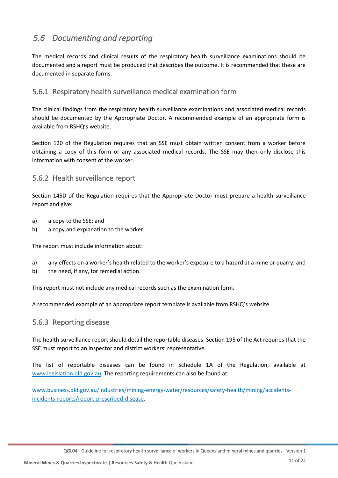## <span id="page-17-0"></span>*5.6 Documenting and reporting*

The medical records and clinical results of the respiratory health surveillance examinations should be documented and a report must be produced that describes the outcome. It is recommended that these are documented in separate forms.

### 5.6.1 Respiratory health surveillance medical examination form

The clinical findings from the respiratory health surveillance examinations and associated medical records should be documented by the Appropriate Doctor. A recommended example of an appropriate form is available from RSHQ's website.

Section 120 of the Regulation requires that an SSE must obtain written consent from a worker before obtaining a copy of this form or any associated medical records. The SSE may then only disclose this information with consent of the worker.

### 5.6.2 Health surveillance report

Section 145D of the Regulation requires that the Appropriate Doctor must prepare a health surveillance report and give:

- a) a copy to the SSE; and
- b) a copy and explanation to the worker.

The report must include information about:

- a) any effects on a worker's health related to the worker's exposure to a hazard at a mine or quarry; and
- b) the need, if any, for remedial action.

This report must not include any medical records such as the examination form.

A recommended example of an appropriate report template is available from RSHQ's website.

### 5.6.3 Reporting disease

The health surveillance report should detail the reportable diseases. Section 195 of the Act requires that the SSE must report to an inspector and district workers' representative.

The list of reportable diseases can be found in Schedule 1A of the Regulation, available at [www.legislation.qld.gov.au.](http://www.legislation.qld.gov.au/) The reporting requirements can also be found at:

[www.business.qld.gov.au/industries/mining-energy-water/resources/safety-health/mining/accidents](http://www.business.qld.gov.au/industries/mining-energy-water/resources/safety-health/mining/accidents-incidents-reports/report-prescribed-disease)[incidents-reports/report-prescribed-disease.](http://www.business.qld.gov.au/industries/mining-energy-water/resources/safety-health/mining/accidents-incidents-reports/report-prescribed-disease)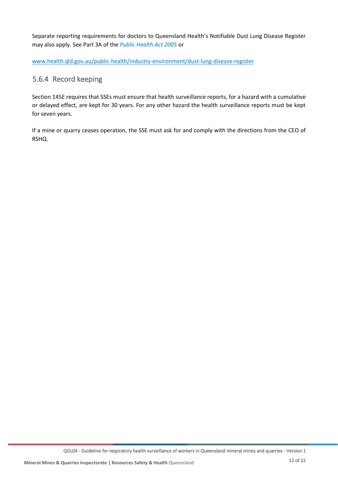Separate reporting requirements for doctors to Queensland Health's Notifiable Dust Lung Disease Register may also apply. See Part 3A of the *[Public Health Act 2005](https://www.legislation.qld.gov.au/view/html/inforce/current/act-2005-048)* or

[www.health.qld.gov.au/public-health/industry-environment/dust-lung-disease-register](http://www.health.qld.gov.au/public-health/industry-environment/dust-lung-disease-register)

## 5.6.4 Record keeping

Section 145E requires that SSEs must ensure that health surveillance reports, for a hazard with a cumulative or delayed effect, are kept for 30 years. For any other hazard the health surveillance reports must be kept for seven years.

If a mine or quarry ceases operation, the SSE must ask for and comply with the directions from the CEO of RSHQ.

QGL04 - Guideline for respiratory health surveillance of workers in Queensland mineral mines and quarries - Version 1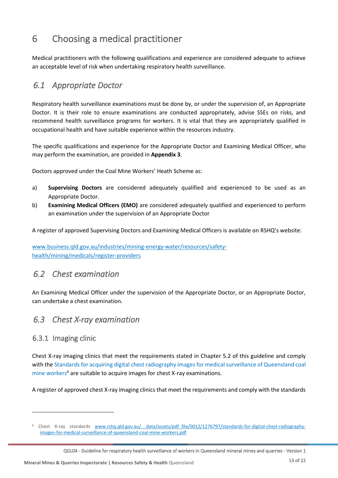# <span id="page-19-0"></span>6 Choosing a medical practitioner

Medical practitioners with the following qualifications and experience are considered adequate to achieve an acceptable level of risk when undertaking respiratory health surveillance.

## <span id="page-19-1"></span>*6.1 Appropriate Doctor*

Respiratory health surveillance examinations must be done by, or under the supervision of, an Appropriate Doctor. It is their role to ensure examinations are conducted appropriately, advise SSEs on risks, and recommend health surveillance programs for workers. It is vital that they are appropriately qualified in occupational health and have suitable experience within the resources industry.

The specific qualifications and experience for the Appropriate Doctor and Examining Medical Officer, who may perform the examination, are provided in **Appendix 3**.

Doctors approved under the Coal Mine Workers' Heath Scheme as:

- a) **Supervising Doctors** are considered adequately qualified and experienced to be used as an Appropriate Doctor.
- b) **Examining Medical Officers (EMO)** are considered adequately qualified and experienced to perform an examination under the supervision of an Appropriate Doctor

A register of approved Supervising Doctors and Examining Medical Officers is available on RSHQ's website:

[www.business.qld.gov.au/industries/mining-energy-water/resources/safety](http://www.business.qld.gov.au/industries/mining-energy-water/resources/safety-health/mining/medicals/register-providers)[health/mining/medicals/register-providers](http://www.business.qld.gov.au/industries/mining-energy-water/resources/safety-health/mining/medicals/register-providers)

## <span id="page-19-2"></span>*6.2 Chest examination*

An Examining Medical Officer under the supervision of the Appropriate Doctor, or an Appropriate Doctor, can undertake a chest examination.

## <span id="page-19-3"></span>*6.3 Chest X-ray examination*

### 6.3.1 Imaging clinic

Chest X-ray imaging clinics that meet the requirements stated in Chapter 5.2 of this guideline and comply with th[e Standards for acquiring digital chest radiography images for medical surveillance of Queensland coal](https://www.rshq.qld.gov.au/__data/assets/pdf_file/0012/1276797/standards-for-digital-chest-radiography-images-for-medical-surveillance-of-queensland-coal-mine-workers.pdf)  [mine workers](https://www.rshq.qld.gov.au/__data/assets/pdf_file/0012/1276797/standards-for-digital-chest-radiography-images-for-medical-surveillance-of-queensland-coal-mine-workers.pdf)*<sup>6</sup>* are suitable to acquire images for chest X-ray examinations.

A register of approved chest X-ray imaging clinics that meet the requirements and comply with the standards

<sup>6</sup> Chest X-ray standards [www.rshq.qld.gov.au/\\_\\_data/assets/pdf\\_file/0012/1276797/standards-for-digital-chest-radiography](file:///C:/Users/MorganRP/AppData/Local/Microsoft/Windows/INetCache/Content.Outlook/S9YKZ4Z9/www.rshq.qld.gov.au/__data/assets/pdf_file/0012/1276797/standards-for-digital-chest-radiography-images-for-medical-surveillance-of-queensland-coal-mine-workers.pdf)[images-for-medical-surveillance-of-queensland-coal-mine-workers.pdf](file:///C:/Users/MorganRP/AppData/Local/Microsoft/Windows/INetCache/Content.Outlook/S9YKZ4Z9/www.rshq.qld.gov.au/__data/assets/pdf_file/0012/1276797/standards-for-digital-chest-radiography-images-for-medical-surveillance-of-queensland-coal-mine-workers.pdf)

QGL04 - Guideline for respiratory health surveillance of workers in Queensland mineral mines and quarries - Version 1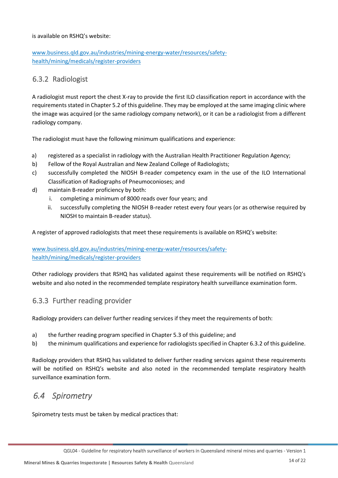#### is available on RSHQ's website:

### [www.business.qld.gov.au/industries/mining-energy-water/resources/safety](http://www.business.qld.gov.au/industries/mining-energy-water/resources/safety-health/mining/medicals/register-providers)[health/mining/medicals/register-providers](http://www.business.qld.gov.au/industries/mining-energy-water/resources/safety-health/mining/medicals/register-providers)

### 6.3.2 Radiologist

A radiologist must report the chest X-ray to provide the first ILO classification report in accordance with the requirements stated in Chapter 5.2 of this guideline. They may be employed at the same imaging clinic where the image was acquired (or the same radiology company network), or it can be a radiologist from a different radiology company.

The radiologist must have the following minimum qualifications and experience:

- a) registered as a specialist in radiology with the Australian Health Practitioner Regulation Agency;
- b) Fellow of the Royal Australian and New Zealand College of Radiologists;
- c) successfully completed the NIOSH B-reader competency exam in the use of the ILO International Classification of Radiographs of Pneumoconioses; and
- d) maintain B-reader proficiency by both:
	- completing a minimum of 8000 reads over four years; and
	- ii. successfully completing the NIOSH B-reader retest every four years (or as otherwise required by NIOSH to maintain B-reader status).

A register of approved radiologists that meet these requirements is available on RSHQ's website:

### [www.business.qld.gov.au/industries/mining-energy-water/resources/safety](http://www.business.qld.gov.au/industries/mining-energy-water/resources/safety-health/mining/medicals/register-providers)[health/mining/medicals/register-providers](http://www.business.qld.gov.au/industries/mining-energy-water/resources/safety-health/mining/medicals/register-providers)

Other radiology providers that RSHQ has validated against these requirements will be notified on RSHQ's website and also noted in the recommended template respiratory health surveillance examination form.

### 6.3.3 Further reading provider

Radiology providers can deliver further reading services if they meet the requirements of both:

- a) the further reading program specified in Chapter 5.3 of this guideline; and
- b) the minimum qualifications and experience for radiologists specified in Chapter 6.3.2 of this guideline.

Radiology providers that RSHQ has validated to deliver further reading services against these requirements will be notified on RSHQ's website and also noted in the recommended template respiratory health surveillance examination form.

## <span id="page-20-0"></span>*6.4 Spirometry*

Spirometry tests must be taken by medical practices that: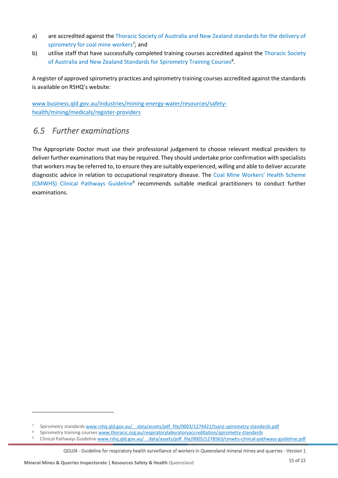- a) are accredited against the Thoracic Society of Australia [and New Zealand standards for the delivery of](https://www.rshq.qld.gov.au/__data/assets/pdf_file/0003/1274421/tsanz-spirometry-standards.pdf)  [spirometry for coal mine workers](https://www.rshq.qld.gov.au/__data/assets/pdf_file/0003/1274421/tsanz-spirometry-standards.pdf)<sup>7</sup>; and
- b) utilise staff that have successfully completed training courses accredited against the [Thoracic Society](https://www.thoracic.org.au/respiratorylaboratoryaccreditation/spirometry-standards)  [of Australia and New Zealand Standards for Spirometry Training Courses](https://www.thoracic.org.au/respiratorylaboratoryaccreditation/spirometry-standards)*<sup>8</sup>* .

A register of approved spirometry practices and spirometry training courses accredited against the standards is available on RSHQ's website:

[www.business.qld.gov.au/industries/mining-energy-water/resources/safety](http://www.business.qld.gov.au/industries/mining-energy-water/resources/safety-health/mining/medicals/register-providers)[health/mining/medicals/register-providers](http://www.business.qld.gov.au/industries/mining-energy-water/resources/safety-health/mining/medicals/register-providers)

## <span id="page-21-0"></span>*6.5 Further examinations*

The Appropriate Doctor must use their professional judgement to choose relevant medical providers to deliver further examinations that may be required. They should undertake prior confirmation with specialists that workers may be referred to, to ensure they are suitably experienced, willing and able to deliver accurate diagnostic advice in relation to occupational respiratory disease. The [Coal Mine Workers' Health Scheme](https://www.dnrm.qld.gov.au/__data/assets/pdf_file/0005/1278563/cmwhs-clinical-pathways-guideline.pdf)  [\(CMWHS\) Clinical Pathways Guideline](https://www.dnrm.qld.gov.au/__data/assets/pdf_file/0005/1278563/cmwhs-clinical-pathways-guideline.pdf)<sup>9</sup> recommends suitable medical practitioners to conduct further examinations.

QGL04 - Guideline for respiratory health surveillance of workers in Queensland mineral mines and quarries - Version 1

<sup>7</sup> Spirometry standard[s www.rshq.qld.gov.au/\\_\\_data/assets/pdf\\_file/0003/1274421/tsanz-spirometry-standards.pdf](http://www.rshq.qld.gov.au/__data/assets/pdf_file/0003/1274421/tsanz-spirometry-standards.pdf)

<sup>8</sup> Spirometry training course[s www.thoracic.org.au/respiratorylaboratoryaccreditation/spirometry-standards](http://www.thoracic.org.au/respiratorylaboratoryaccreditation/spirometry-standards)<br>8 Clinical Bathways Guideline www.rshg.old.gov.au/\_\_\_\_data/assets/odf\_file/0005/1278563/cmwhs\_clinical\_pat

Clinical Pathways Guideline www.rshq.qld.gov.au/ data/assets/pdf file/0005/1278563/cmwhs-clinical-pathways-guideline.pdf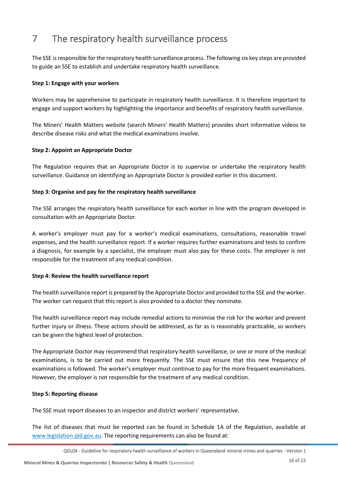# <span id="page-22-0"></span>7 The respiratory health surveillance process

The SSE is responsible for the respiratory health surveillance process. The following six key steps are provided to guide an SSE to establish and undertake respiratory health surveillance.

#### **Step 1: Engage with your workers**

Workers may be apprehensive to participate in respiratory health surveillance. It is therefore important to engage and support workers by highlighting the importance and benefits of respiratory health surveillance.

The Miners' Health Matters website (search Miners' Health Matters) provides short informative videos to describe disease risks and what the medical examinations involve.

#### **Step 2: Appoint an Appropriate Doctor**

The Regulation requires that an Appropriate Doctor is to supervise or undertake the respiratory health surveillance. Guidance on identifying an Appropriate Doctor is provided earlier in this document.

#### **Step 3: Organise and pay for the respiratory health surveillance**

The SSE arranges the respiratory health surveillance for each worker in line with the program developed in consultation with an Appropriate Doctor.

A worker's employer must pay for a worker's medical examinations, consultations, reasonable travel expenses, and the health surveillance report. If a worker requires further examinations and tests to confirm a diagnosis, for example by a specialist, the employer must also pay for these costs. The employer is not responsible for the treatment of any medical condition.

#### **Step 4: Review the health surveillance report**

The health surveillance report is prepared by the Appropriate Doctor and provided to the SSE and the worker. The worker can request that this report is also provided to a doctor they nominate.

The health surveillance report may include remedial actions to minimise the risk for the worker and prevent further injury or illness. These actions should be addressed, as far as is reasonably practicable, so workers can be given the highest level of protection.

The Appropriate Doctor may recommend that respiratory health surveillance, or one or more of the medical examinations, is to be carried out more frequently. The SSE must ensure that this new frequency of examinations is followed. The worker's employer must continue to pay for the more frequent examinations. However, the employer is not responsible for the treatment of any medical condition.

#### **Step 5: Reporting disease**

The SSE must report diseases to an inspector and district workers' representative.

The list of diseases that must be reported can be found in Schedule 1A of the Regulation, available at [www.legislation.qld.gov.au.](http://www.legislation.qld.gov.au/) The reporting requirements can also be found at:

QGL04 - Guideline for respiratory health surveillance of workers in Queensland mineral mines and quarries - Version 1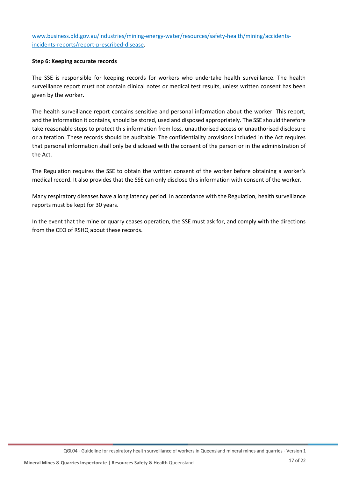[www.business.qld.gov.au/industries/mining-energy-water/resources/safety-health/mining/accidents](http://www.business.qld.gov.au/industries/mining-energy-water/resources/safety-health/mining/accidents-incidents-reports/report-prescribed-disease)[incidents-reports/report-prescribed-disease.](http://www.business.qld.gov.au/industries/mining-energy-water/resources/safety-health/mining/accidents-incidents-reports/report-prescribed-disease)

#### **Step 6: Keeping accurate records**

The SSE is responsible for keeping records for workers who undertake health surveillance. The health surveillance report must not contain clinical notes or medical test results, unless written consent has been given by the worker.

The health surveillance report contains sensitive and personal information about the worker. This report, and the information it contains, should be stored, used and disposed appropriately. The SSE should therefore take reasonable steps to protect this information from loss, unauthorised access or unauthorised disclosure or alteration. These records should be auditable. The confidentiality provisions included in the Act requires that personal information shall only be disclosed with the consent of the person or in the administration of the Act.

The Regulation requires the SSE to obtain the written consent of the worker before obtaining a worker's medical record. It also provides that the SSE can only disclose this information with consent of the worker.

Many respiratory diseases have a long latency period. In accordance with the Regulation, health surveillance reports must be kept for 30 years.

In the event that the mine or quarry ceases operation, the SSE must ask for, and comply with the directions from the CEO of RSHQ about these records.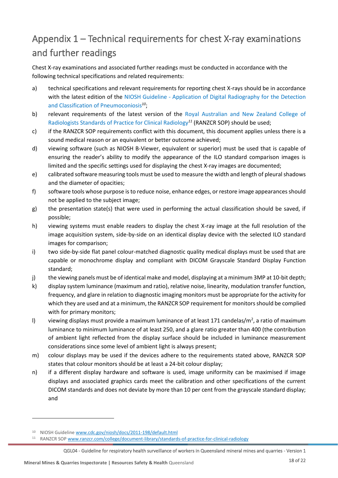# <span id="page-24-0"></span>Appendix 1 – Technical requirements for chest X-ray examinations and further readings

Chest X-ray examinations and associated further readings must be conducted in accordance with the following technical specifications and related requirements:

- a) technical specifications and relevant requirements for reporting chest X-rays should be in accordance with the latest edition of the NIOSH Guideline - Application of Digital Radiography for the Detection [and Classification of Pneumoconiosis](http://www.cdc.gov/niosh/docs/2011-198/default.html)*<sup>10</sup>*;
- b) relevant requirements of the latest version of the [Royal Australian and New Zealand College](http://www.ranzcr.com/college/document-library/standards-of-practice-for-clinical-radiology) of [Radiologists Standards of Practice for Clinical Radiology](http://www.ranzcr.com/college/document-library/standards-of-practice-for-clinical-radiology)*<sup>11</sup>* (RANZCR SOP) should be used;
- c) if the RANZCR SOP requirements conflict with this document, this document applies unless there is a sound medical reason or an equivalent or better outcome achieved;
- d) viewing software (such as NIOSH B-Viewer, equivalent or superior) must be used that is capable of ensuring the reader's ability to modify the appearance of the ILO standard comparison images is limited and the specific settings used for displaying the chest X-ray images are documented;
- e) calibrated software measuring tools must be used to measure the width and length of pleural shadows and the diameter of opacities;
- f) software tools whose purpose is to reduce noise, enhance edges, or restore image appearances should not be applied to the subject image;
- g) the presentation state(s) that were used in performing the actual classification should be saved, if possible;
- h) viewing systems must enable readers to display the chest X-ray image at the full resolution of the image acquisition system, side-by-side on an identical display device with the selected ILO standard images for comparison;
- i) two side-by-side flat panel colour-matched diagnostic quality medical displays must be used that are capable or monochrome display and compliant with DICOM Grayscale Standard Display Function standard;
- j) the viewing panels must be of identical make and model, displaying at a minimum 3MP at 10-bit depth;
- k) display system luminance (maximum and ratio), relative noise, linearity, modulation transfer function, frequency, and glare in relation to diagnostic imaging monitors must be appropriate for the activity for which they are used and at a minimum, the RANZCR SOP requirement for monitors should be complied with for primary monitors;
- I) viewing displays must provide a maximum luminance of at least 171 candelas/m<sup>2</sup>, a ratio of maximum luminance to minimum luminance of at least 250, and a glare ratio greater than 400 (the contribution of ambient light reflected from the display surface should be included in luminance measurement considerations since some level of ambient light is always present;
- m) colour displays may be used if the devices adhere to the requirements stated above, RANZCR SOP states that colour monitors should be at least a 24-bit colour display;
- n) if a different display hardware and software is used, image uniformity can be maximised if image displays and associated graphics cards meet the calibration and other specifications of the current DICOM standards and does not deviate by more than 10 per cent from the grayscale standard display; and

<sup>10</sup> NIOSH Guidelin[e www.cdc.gov/niosh/docs/2011-198/default.html](file:///C:/Users/MorganRP/AppData/Local/Microsoft/Windows/INetCache/Content.Outlook/S9YKZ4Z9/www.cdc.gov/niosh/docs/2011-198/default.html)

<sup>11</sup> RANZCR SO[P www.ranzcr.com/college/document-library/standards-of-practice-for-clinical-radiology](file:///C:/Users/MorganRP/AppData/Local/Microsoft/Windows/INetCache/Content.Outlook/S9YKZ4Z9/www.ranzcr.com/college/document-library/standards-of-practice-for-clinical-radiology)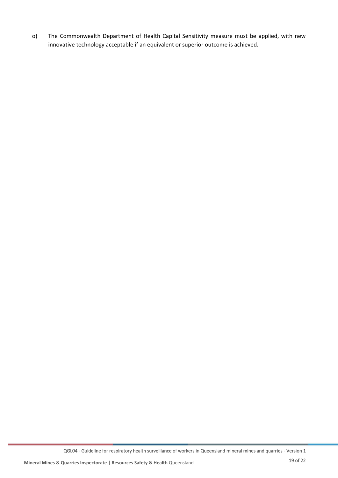o) The Commonwealth Department of Health Capital Sensitivity measure must be applied, with new innovative technology acceptable if an equivalent or superior outcome is achieved.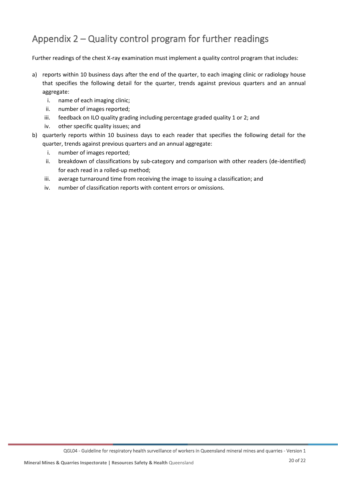# <span id="page-26-0"></span>Appendix 2 – Quality control program for further readings

Further readings of the chest X-ray examination must implement a quality control program that includes:

- a) reports within 10 business days after the end of the quarter, to each imaging clinic or radiology house that specifies the following detail for the quarter, trends against previous quarters and an annual aggregate:
	- i. name of each imaging clinic;
	- ii. number of images reported;
	- iii. feedback on ILO quality grading including percentage graded quality 1 or 2; and
	- iv. other specific quality issues; and
- b) quarterly reports within 10 business days to each reader that specifies the following detail for the quarter, trends against previous quarters and an annual aggregate:
	- i. number of images reported;
	- ii. breakdown of classifications by sub-category and comparison with other readers (de-identified) for each read in a rolled-up method;
	- iii. average turnaround time from receiving the image to issuing a classification; and
	- iv. number of classification reports with content errors or omissions.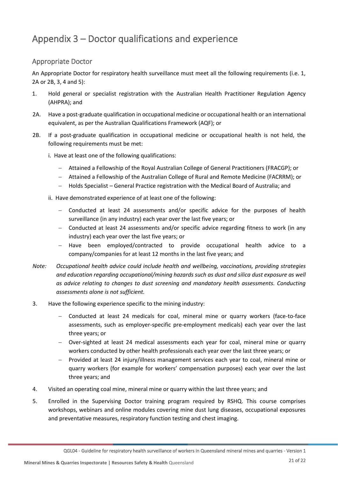# <span id="page-27-0"></span>Appendix 3 – Doctor qualifications and experience

### <span id="page-27-1"></span>Appropriate Doctor

An Appropriate Doctor for respiratory health surveillance must meet all the following requirements (i.e. 1, 2A or 2B, 3, 4 and 5):

- 1. Hold general or specialist registration with the Australian Health Practitioner Regulation Agency (AHPRA); and
- 2A. Have a post-graduate qualification in occupational medicine or occupational health or an international equivalent, as per the Australian Qualifications Framework (AQF); or
- 2B. If a post-graduate qualification in occupational medicine or occupational health is not held, the following requirements must be met:
	- i. Have at least one of the following qualifications:
		- − Attained a Fellowship of the Royal Australian College of General Practitioners (FRACGP); or
		- − Attained a Fellowship of the Australian College of Rural and Remote Medicine (FACRRM); or
		- − Holds Specialist General Practice registration with the Medical Board of Australia; and
	- ii. Have demonstrated experience of at least one of the following:
		- − Conducted at least 24 assessments and/or specific advice for the purposes of health surveillance (in any industry) each year over the last five years; or
		- − Conducted at least 24 assessments and/or specific advice regarding fitness to work (in any industry) each year over the last five years; or
		- − Have been employed/contracted to provide occupational health advice to a company/companies for at least 12 months in the last five years; and
- *Note: Occupational health advice could include health and wellbeing, vaccinations, providing strategies and education regarding occupational/mining hazards such as dust and silica dust exposure as well as advice relating to changes to dust screening and mandatory health assessments. Conducting assessments alone is not sufficient.*
- 3. Have the following experience specific to the mining industry:
	- − Conducted at least 24 medicals for coal, mineral mine or quarry workers (face-to-face assessments, such as employer-specific pre-employment medicals) each year over the last three years; or
	- − Over-sighted at least 24 medical assessments each year for coal, mineral mine or quarry workers conducted by other health professionals each year over the last three years; or
	- − Provided at least 24 injury/illness management services each year to coal, mineral mine or quarry workers (for example for workers' compensation purposes) each year over the last three years; and
- 4. Visited an operating coal mine, mineral mine or quarry within the last three years; and
- 5. Enrolled in the Supervising Doctor training program required by RSHQ. This course comprises workshops, webinars and online modules covering mine dust lung diseases, occupational exposures and preventative measures, respiratory function testing and chest imaging.

QGL04 - Guideline for respiratory health surveillance of workers in Queensland mineral mines and quarries - Version 1